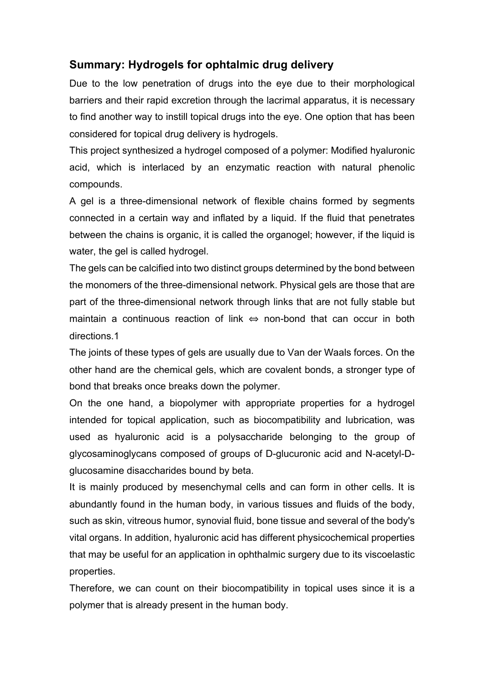## **Summary: Hydrogels for ophtalmic drug delivery**

Due to the low penetration of drugs into the eye due to their morphological barriers and their rapid excretion through the lacrimal apparatus, it is necessary to find another way to instill topical drugs into the eye. One option that has been considered for topical drug delivery is hydrogels.

This project synthesized a hydrogel composed of a polymer: Modified hyaluronic acid, which is interlaced by an enzymatic reaction with natural phenolic compounds.

A gel is a three-dimensional network of flexible chains formed by segments connected in a certain way and inflated by a liquid. If the fluid that penetrates between the chains is organic, it is called the organogel; however, if the liquid is water, the gel is called hydrogel.

The gels can be calcified into two distinct groups determined by the bond between the monomers of the three-dimensional network. Physical gels are those that are part of the three-dimensional network through links that are not fully stable but maintain a continuous reaction of link ⇔ non-bond that can occur in both directions.1

The joints of these types of gels are usually due to Van der Waals forces. On the other hand are the chemical gels, which are covalent bonds, a stronger type of bond that breaks once breaks down the polymer.

On the one hand, a biopolymer with appropriate properties for a hydrogel intended for topical application, such as biocompatibility and lubrication, was used as hyaluronic acid is a polysaccharide belonging to the group of glycosaminoglycans composed of groups of D-glucuronic acid and N-acetyl-Dglucosamine disaccharides bound by beta.

It is mainly produced by mesenchymal cells and can form in other cells. It is abundantly found in the human body, in various tissues and fluids of the body, such as skin, vitreous humor, synovial fluid, bone tissue and several of the body's vital organs. In addition, hyaluronic acid has different physicochemical properties that may be useful for an application in ophthalmic surgery due to its viscoelastic properties.

Therefore, we can count on their biocompatibility in topical uses since it is a polymer that is already present in the human body.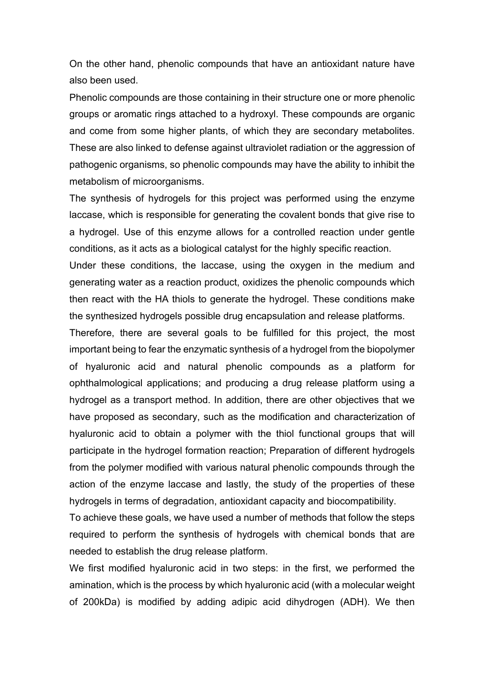On the other hand, phenolic compounds that have an antioxidant nature have also been used.

Phenolic compounds are those containing in their structure one or more phenolic groups or aromatic rings attached to a hydroxyl. These compounds are organic and come from some higher plants, of which they are secondary metabolites. These are also linked to defense against ultraviolet radiation or the aggression of pathogenic organisms, so phenolic compounds may have the ability to inhibit the metabolism of microorganisms.

The synthesis of hydrogels for this project was performed using the enzyme laccase, which is responsible for generating the covalent bonds that give rise to a hydrogel. Use of this enzyme allows for a controlled reaction under gentle conditions, as it acts as a biological catalyst for the highly specific reaction.

Under these conditions, the laccase, using the oxygen in the medium and generating water as a reaction product, oxidizes the phenolic compounds which then react with the HA thiols to generate the hydrogel. These conditions make the synthesized hydrogels possible drug encapsulation and release platforms.

Therefore, there are several goals to be fulfilled for this project, the most important being to fear the enzymatic synthesis of a hydrogel from the biopolymer of hyaluronic acid and natural phenolic compounds as a platform for ophthalmological applications; and producing a drug release platform using a hydrogel as a transport method. In addition, there are other objectives that we have proposed as secondary, such as the modification and characterization of hyaluronic acid to obtain a polymer with the thiol functional groups that will participate in the hydrogel formation reaction; Preparation of different hydrogels from the polymer modified with various natural phenolic compounds through the action of the enzyme laccase and lastly, the study of the properties of these hydrogels in terms of degradation, antioxidant capacity and biocompatibility.

To achieve these goals, we have used a number of methods that follow the steps required to perform the synthesis of hydrogels with chemical bonds that are needed to establish the drug release platform.

We first modified hyaluronic acid in two steps: in the first, we performed the amination, which is the process by which hyaluronic acid (with a molecular weight of 200kDa) is modified by adding adipic acid dihydrogen (ADH). We then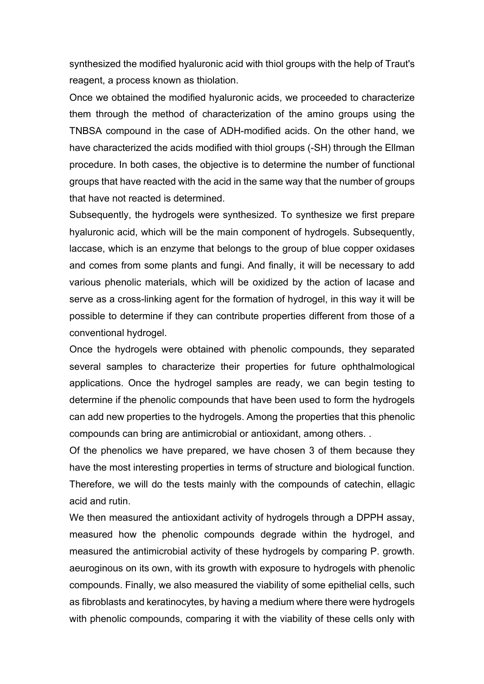synthesized the modified hyaluronic acid with thiol groups with the help of Traut's reagent, a process known as thiolation.

Once we obtained the modified hyaluronic acids, we proceeded to characterize them through the method of characterization of the amino groups using the TNBSA compound in the case of ADH-modified acids. On the other hand, we have characterized the acids modified with thiol groups (-SH) through the Ellman procedure. In both cases, the objective is to determine the number of functional groups that have reacted with the acid in the same way that the number of groups that have not reacted is determined.

Subsequently, the hydrogels were synthesized. To synthesize we first prepare hyaluronic acid, which will be the main component of hydrogels. Subsequently, laccase, which is an enzyme that belongs to the group of blue copper oxidases and comes from some plants and fungi. And finally, it will be necessary to add various phenolic materials, which will be oxidized by the action of lacase and serve as a cross-linking agent for the formation of hydrogel, in this way it will be possible to determine if they can contribute properties different from those of a conventional hydrogel.

Once the hydrogels were obtained with phenolic compounds, they separated several samples to characterize their properties for future ophthalmological applications. Once the hydrogel samples are ready, we can begin testing to determine if the phenolic compounds that have been used to form the hydrogels can add new properties to the hydrogels. Among the properties that this phenolic compounds can bring are antimicrobial or antioxidant, among others. .

Of the phenolics we have prepared, we have chosen 3 of them because they have the most interesting properties in terms of structure and biological function. Therefore, we will do the tests mainly with the compounds of catechin, ellagic acid and rutin.

We then measured the antioxidant activity of hydrogels through a DPPH assay, measured how the phenolic compounds degrade within the hydrogel, and measured the antimicrobial activity of these hydrogels by comparing P. growth. aeuroginous on its own, with its growth with exposure to hydrogels with phenolic compounds. Finally, we also measured the viability of some epithelial cells, such as fibroblasts and keratinocytes, by having a medium where there were hydrogels with phenolic compounds, comparing it with the viability of these cells only with